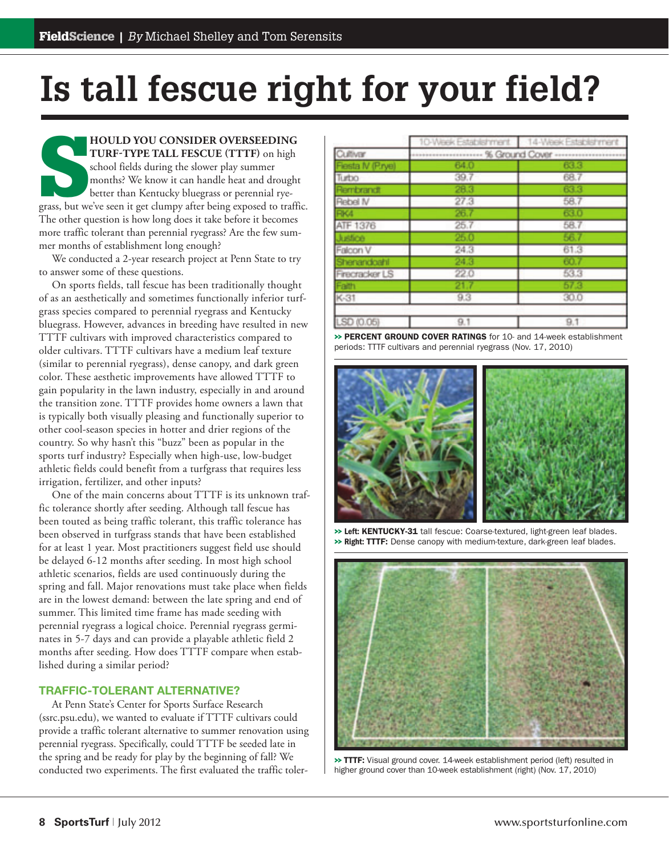## **Is tall fescue right for your field?**

**SPECIFY SEED ING TURF-TYPE TALL FESCUE (TTTF)** on high school fields during the slower play summer months? We know it can handle heat and drought better than Kentucky bluegrass or perennial ryegrass, but we've seen it get **HOULD YOU CONSIDER OVERSEEDING** TURF-TYPE TALL FESCUE (TTTF) on high school fields during the slower play summer months? We know it can handle heat and drought better than Kentucky bluegrass or perennial rye-The other question is how long does it take before it becomes more traffic tolerant than perennial ryegrass? Are the few summer months of establishment long enough?

We conducted a 2-year research project at Penn State to try to answer some of these questions.

On sports fields, tall fescue has been traditionally thought of as an aesthetically and sometimes functionally inferior turfgrass species compared to perennial ryegrass and Kentucky bluegrass. However, advances in breeding have resulted in new TTTF cultivars with improved characteristics compared to older cultivars. TTTF cultivars have a medium leaf texture (similar to perennial ryegrass), dense canopy, and dark green color. These aesthetic improvements have allowed TTTF to gain popularity in the lawn industry, especially in and around the transition zone. TTTF provides home owners a lawn that is typically both visually pleasing and functionally superior to other cool-season species in hotter and drier regions of the country. So why hasn't this "buzz" been as popular in the sports turf industry? Especially when high-use, low-budget athletic fields could benefit from a turfgrass that requires less irrigation, fertilizer, and other inputs?

One of the main concerns about TTTF is its unknown traffic tolerance shortly after seeding. Although tall fescue has been touted as being traffic tolerant, this traffic tolerance has been observed in turfgrass stands that have been established for at least 1 year. Most practitioners suggest field use should be delayed 6-12 months after seeding. In most high school athletic scenarios, fields are used continuously during the spring and fall. Major renovations must take place when fields are in the lowest demand: between the late spring and end of summer. This limited time frame has made seeding with perennial ryegrass a logical choice. Perennial ryegrass germinates in 5-7 days and can provide a playable athletic field 2 months after seeding. How does TTTF compare when established during a similar period?

## **TRAFFIC-TOLERANT ALTERNATIVE?**

At Penn State's Center for Sports Surface Research (ssrc.psu.edu), we wanted to evaluate if TTTF cultivars could provide a traffic tolerant alternative to summer renovation using perennial ryegrass. Specifically, could TTTF be seeded late in the spring and be ready for play by the beginning of fall? We conducted two experiments. The first evaluated the traffic toler-

|                   |                   | 10-Week Establishment   14-Week Establishment |
|-------------------|-------------------|-----------------------------------------------|
| Cultivan          |                   |                                               |
| Flesta IV (P.rye) | 64.0              | 63.3                                          |
| Turbo             | 39.7 <sup>°</sup> | 68.7                                          |
| Rembrandt         | 28.3              | 63.3                                          |
| Rebel IV          | 27.3              | 58.7                                          |
| FIK4              | 26.7              | 63.0                                          |
| ATF 1376          | 25.7              | 58.7                                          |
| Justice           | 25.0              | 56.7                                          |
| Falcon V          | 24.3              | 61.3                                          |
| Shenandoahl       | 24.3              | 60.7                                          |
| Firecracker LS    | 22.0              | 53.3                                          |
| Faith             | 21.               | 57.3                                          |
| K-31              | 9.3               | 30.0                                          |
| SD (0.05)         | 9.1               | 9.1                                           |

>> PERCENT GROUND COVER RATINGS for 10- and 14-week establishment periods: TTTF cultivars and perennial ryegrass (Nov. 17, 2010)



>> **Left:** KENTUCKY-31 tall fescue: Coarse-textured, light-green leaf blades. >> **Right:** TTTF: Dense canopy with medium-texture, dark-green leaf blades.



>> TTTF: Visual ground cover. 14-week establishment period (left) resulted in higher ground cover than 10-week establishment (right) (Nov. 17, 2010)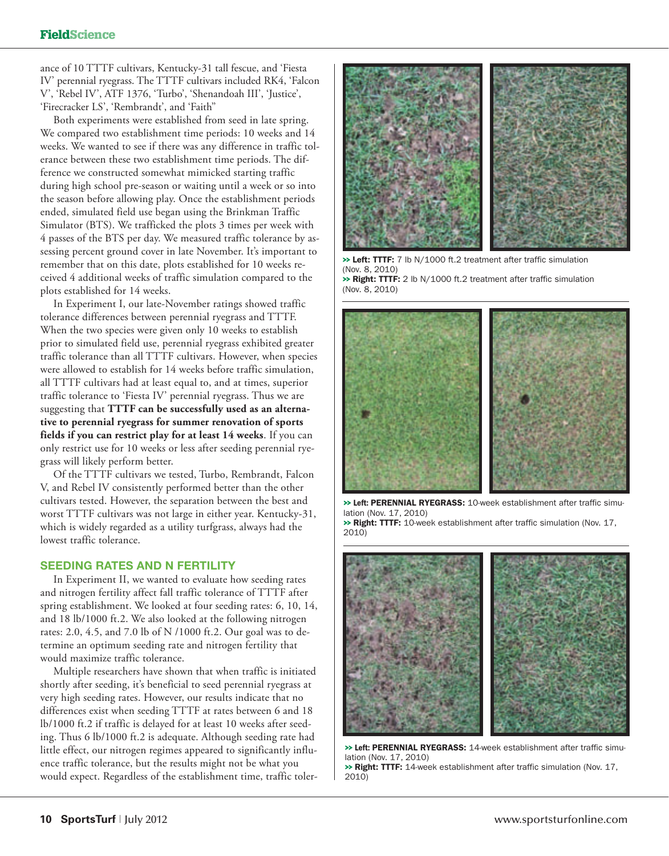ance of 10 TTTF cultivars, Kentucky-31 tall fescue, and 'Fiesta IV' perennial ryegrass. The TTTF cultivars included RK4, 'Falcon V', 'Rebel IV', ATF 1376, 'Turbo', 'Shenandoah III', 'Justice', 'Firecracker LS', 'Rembrandt', and 'Faith''

Both experiments were established from seed in late spring. We compared two establishment time periods: 10 weeks and 14 weeks. We wanted to see if there was any difference in traffic tolerance between these two establishment time periods. The difference we constructed somewhat mimicked starting traffic during high school pre-season or waiting until a week or so into the season before allowing play. Once the establishment periods ended, simulated field use began using the Brinkman Traffic Simulator (BTS). We trafficked the plots 3 times per week with 4 passes of the BTS per day. We measured traffic tolerance by assessing percent ground cover in late November. It's important to remember that on this date, plots established for 10 weeks received 4 additional weeks of traffic simulation compared to the plots established for 14 weeks.

In Experiment I, our late-November ratings showed traffic tolerance differences between perennial ryegrass and TTTF. When the two species were given only 10 weeks to establish prior to simulated field use, perennial ryegrass exhibited greater traffic tolerance than all TTTF cultivars. However, when species were allowed to establish for 14 weeks before traffic simulation, all TTTF cultivars had at least equal to, and at times, superior traffic tolerance to 'Fiesta IV' perennial ryegrass. Thus we are suggesting that **TTTF can be successfully used as an alternative to perennial ryegrass for summer renovation of sports fields if you can restrict play for at least 14 weeks**. If you can only restrict use for 10 weeks or less after seeding perennial ryegrass will likely perform better.

Of the TTTF cultivars we tested, Turbo, Rembrandt, Falcon V, and Rebel IV consistently performed better than the other cultivars tested. However, the separation between the best and worst TTTF cultivars was not large in either year. Kentucky-31, which is widely regarded as a utility turfgrass, always had the lowest traffic tolerance.

## **SEEDING RATES AND N FERTILITY**

In Experiment II, we wanted to evaluate how seeding rates and nitrogen fertility affect fall traffic tolerance of TTTF after spring establishment. We looked at four seeding rates: 6, 10, 14, and 18 lb/1000 ft.2. We also looked at the following nitrogen rates: 2.0, 4.5, and 7.0 lb of N /1000 ft.2. Our goal was to determine an optimum seeding rate and nitrogen fertility that would maximize traffic tolerance.

Multiple researchers have shown that when traffic is initiated shortly after seeding, it's beneficial to seed perennial ryegrass at very high seeding rates. However, our results indicate that no differences exist when seeding TTTF at rates between 6 and 18 lb/1000 ft.2 if traffic is delayed for at least 10 weeks after seeding. Thus 6 lb/1000 ft.2 is adequate. Although seeding rate had little effect, our nitrogen regimes appeared to significantly influence traffic tolerance, but the results might not be what you would expect. Regardless of the establishment time, traffic toler-



>> Left: TTTF: 7 lb N/1000 ft.2 treatment after traffic simulation (Nov. 8, 2010) >> Right: TTTF: 2 lb N/1000 ft.2 treatment after traffic simulation (Nov. 8, 2010)



>> **Left:** PERENNIAL RYEGRASS: 10-week establishment after traffic simulation (Nov. 17, 2010)

>> Right: TTTF: 10-week establishment after traffic simulation (Nov. 17, 2010)



>> **Left:** PERENNIAL RYEGRASS: 14-week establishment after traffic simulation (Nov. 17, 2010)

>> Right: TTTF: 14-week establishment after traffic simulation (Nov. 17, 2010)